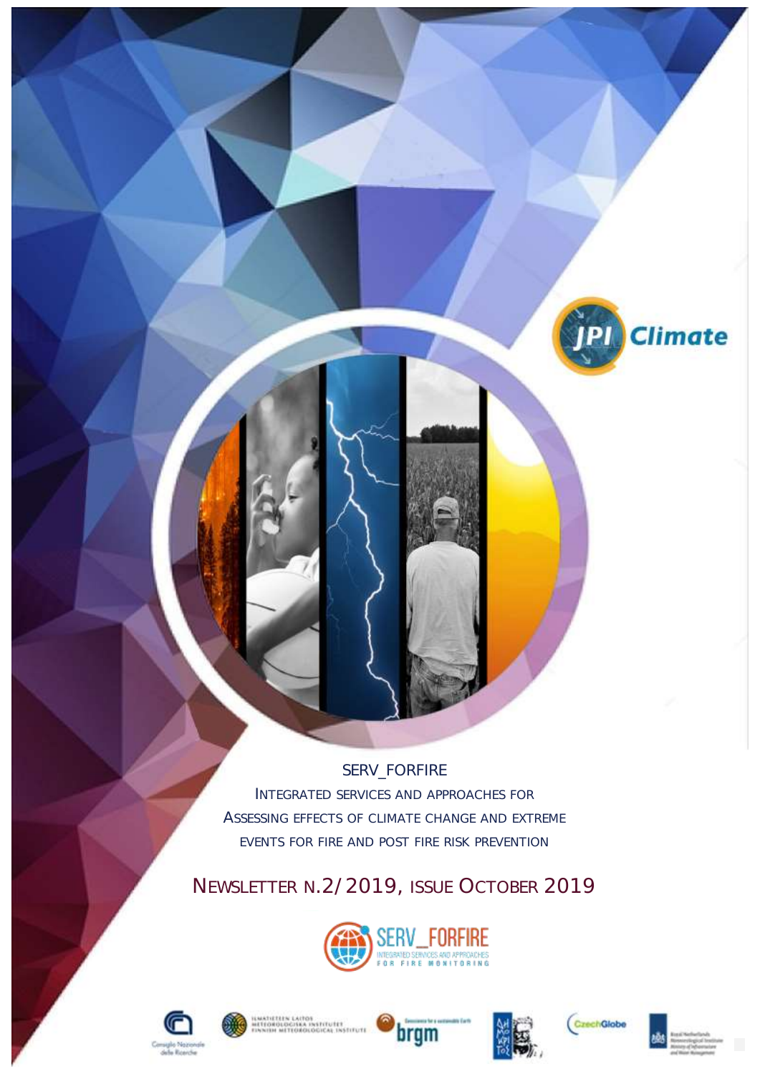SERV\_FORFIRE INTEGRATED SERVICES AND APPROACHES FOR ASSESSING EFFECTS OF CLIMATE CHANGE AND EXTREME EVENTS FOR FIRE AND POST FIRE RISK PREVENTION

NEWSLETTER N.2/2019, ISSUE OCTOBER 2019













**Climate** 

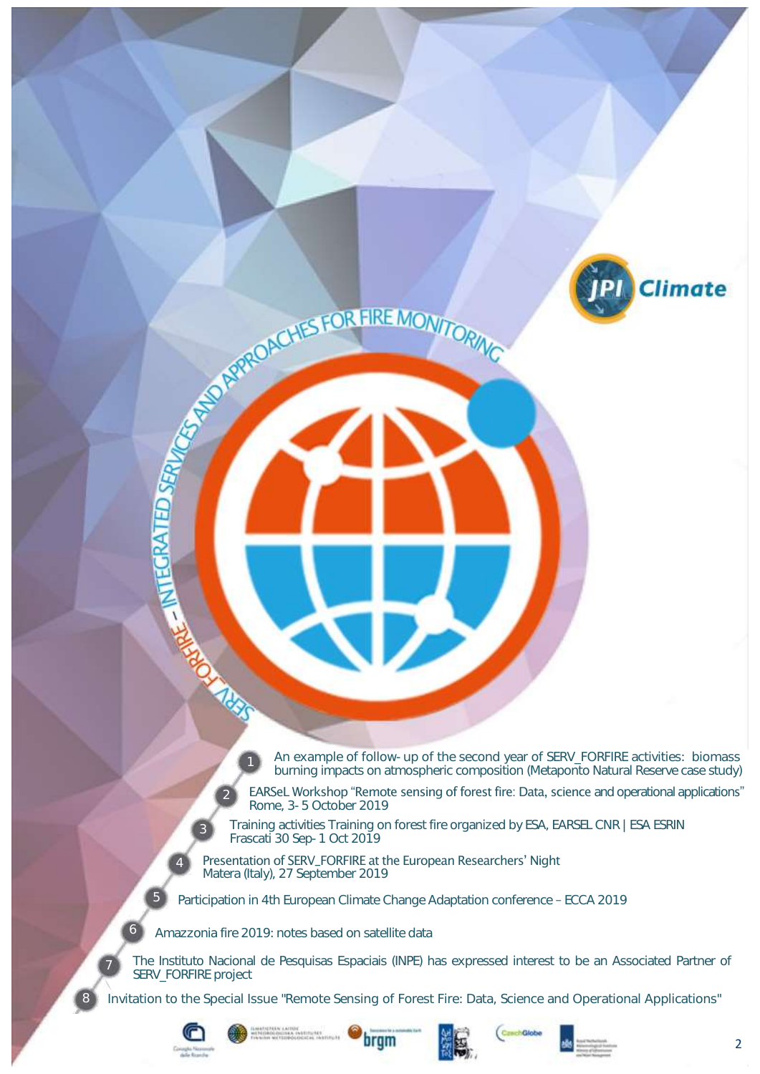An example of follow-up of the second year of SERV\_FORFIRE activities: biomass burning impacts on atmospheric composition (Metaponto Natural Reserve case study)

EARSeL Workshop "Remote sensing of forest fire: Data, science and operational applications" Rome, 3-5 October 2019

Training activities Training on forest fire organized by ESA, EARSEL CNR | ESA ESRIN Frascati 30 Sep-1 Oct 2019

Presentation of SERV\_FORFIRE at the European Researchers' Night Matera (Italy), 27 September 2019

Participation in 4th European Climate Change Adaptation conference – ECCA 2019

Amazzonia fire 2019: notes based on satellite data

ACCEPTED MANUFACTURE MONTOR

The Instituto Nacional de Pesquisas Espaciais (INPE) has expressed interest to be an Associated Partner of SERV\_FORFIRE project

Invitation to the Special Issue "Remote Sensing of Forest Fire: Data, Science and Operational Applications"



2

3

5

6

8









**Climate**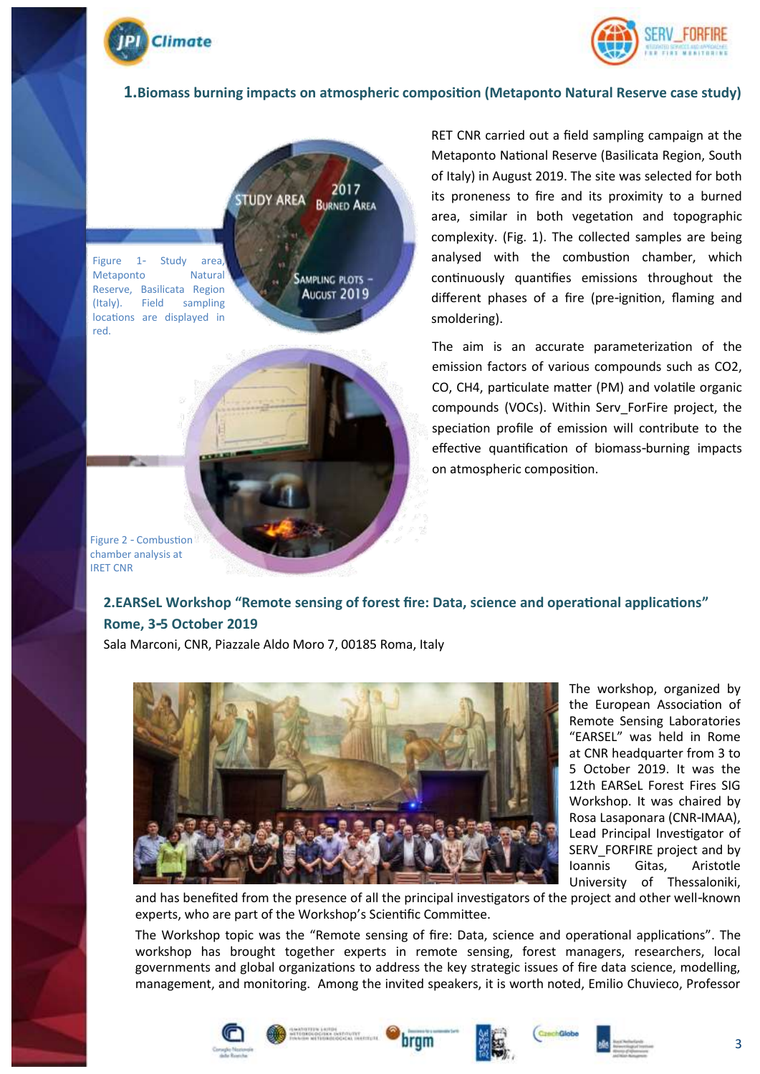



#### **1.Biomass burning impacts on atmospheric composition (Metaponto Natural Reserve case study)**



Figure 1- Study area Metaponto Natural Reserve, Basilicata Region (Italy). Field sampling locations are displayed in red.

August 2019



RET CNR carried out a field sampling campaign at the Metaponto National Reserve (Basilicata Region, South of Italy) in August 2019. The site was selected for both its proneness to fire and its proximity to a burned area, similar in both vegetation and topographic complexity. (Fig. 1). The collected samples are being analysed with the combustion chamber, which continuously quantifies emissions throughout the different phases of a fire (pre-ignition, flaming and smoldering).

The aim is an accurate parameterization of the emission factors of various compounds such as CO2, CO, CH4, particulate matter (PM) and volatile organic compounds (VOCs). Within Serv\_ForFire project, the speciation profile of emission will contribute to the effective quantification of biomass-burning impacts on atmospheric composition.

Figure 2 - Combustion chamber analysis at IRET CNR

### **2.EARSeL Workshop "Remote sensing of forest fire: Data, science and operational applications" Rome, 3-5 October 2019**

Sala Marconi, CNR, Piazzale Aldo Moro 7, 00185 Roma, Italy



The workshop, organized by the European Association of Remote Sensing Laboratories "EARSEL" was held in Rome at CNR headquarter from 3 to 5 October 2019. It was the 12th EARSeL Forest Fires SIG Workshop. It was chaired by Rosa Lasaponara (CNR-IMAA), Lead Principal Investigator of SERV\_FORFIRE project and by Ioannis Gitas, Aristotle University of Thessaloniki,

and has benefited from the presence of all the principal investigators of the project and other well-known experts, who are part of the Workshop's Scientific Committee.

The Workshop topic was the "Remote sensing of fire: Data, science and operational applications". The workshop has brought together experts in remote sensing, forest managers, researchers, local governments and global organizations to address the key strategic issues of fire data science, modelling, management, and monitoring. Among the invited speakers, it is worth noted, Emilio Chuvieco, Professor









3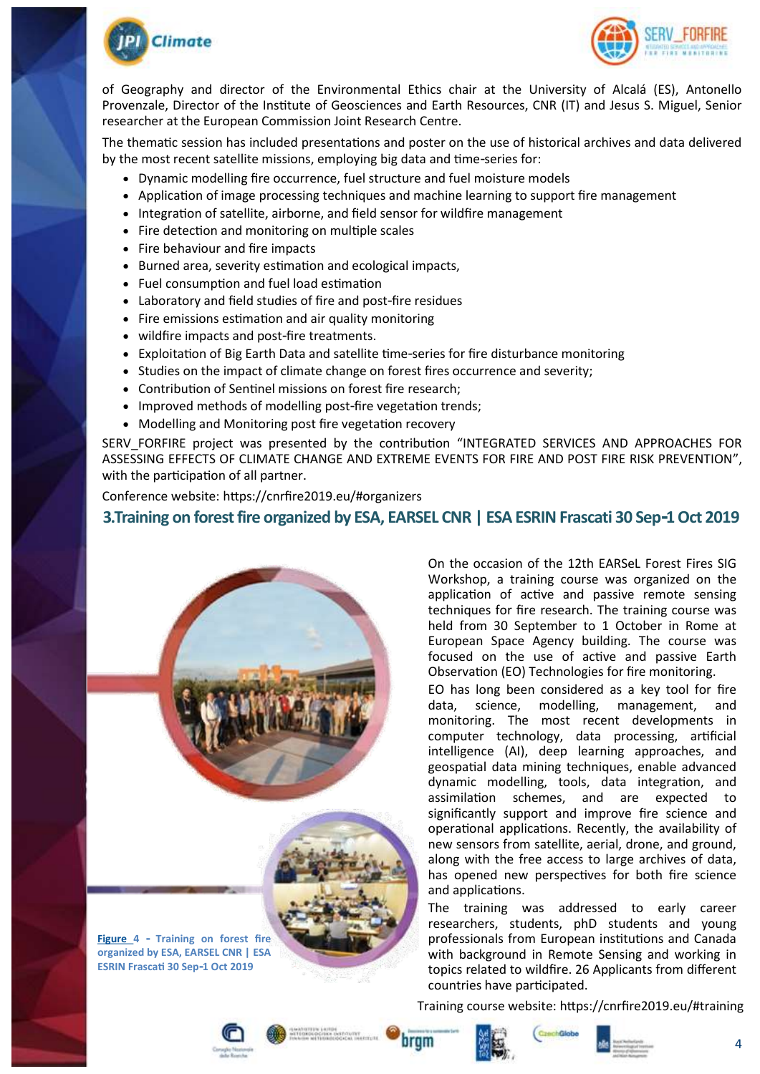



of Geography and director of the Environmental Ethics chair at the University of Alcalá (ES), Antonello Provenzale, Director of the Institute of Geosciences and Earth Resources, CNR (IT) and Jesus S. Miguel, Senior researcher at the European Commission Joint Research Centre.

The thematic session has included presentations and poster on the use of historical archives and data delivered by the most recent satellite missions, employing big data and time-series for:

- Dynamic modelling fire occurrence, fuel structure and fuel moisture models
- Application of image processing techniques and machine learning to support fire management
- Integration of satellite, airborne, and field sensor for wildfire management
- Fire detection and monitoring on multiple scales
- Fire behaviour and fire impacts
- Burned area, severity estimation and ecological impacts,
- Fuel consumption and fuel load estimation
- Laboratory and field studies of fire and post-fire residues
- Fire emissions estimation and air quality monitoring
- wildfire impacts and post-fire treatments.
- Exploitation of Big Earth Data and satellite time-series for fire disturbance monitoring
- Studies on the impact of climate change on forest fires occurrence and severity;
- Contribution of Sentinel missions on forest fire research;
- Improved methods of modelling post-fire vegetation trends;
- Modelling and Monitoring post fire vegetation recovery

SERV FORFIRE project was presented by the contribution "INTEGRATED SERVICES AND APPROACHES FOR ASSESSING EFFECTS OF CLIMATE CHANGE AND EXTREME EVENTS FOR FIRE AND POST FIRE RISK PREVENTION", with the participation of all partner.

Conference website: https://cnrfire2019.eu/#organizers

#### **3.Training on forest fire organized by ESA, EARSEL CNR | ESA ESRIN Frascati 30 Sep-1 Oct 2019**



**Figure 4 - Training on forest fire organized by ESA, EARSEL CNR | ESA ESRIN Frascati 30 Sep-1 Oct 2019**

On the occasion of the 12th EARSeL Forest Fires SIG Workshop, a training course was organized on the application of active and passive remote sensing techniques for fire research. The training course was held from 30 September to 1 October in Rome at European Space Agency building. The course was focused on the use of active and passive Earth Observation (EO) Technologies for fire monitoring.

EO has long been considered as a key tool for fire data, science, modelling, management, and monitoring. The most recent developments in computer technology, data processing, artificial intelligence (AI), deep learning approaches, and geospatial data mining techniques, enable advanced dynamic modelling, tools, data integration, and assimilation schemes, and are expected to significantly support and improve fire science and operational applications. Recently, the availability of new sensors from satellite, aerial, drone, and ground, along with the free access to large archives of data, has opened new perspectives for both fire science and applications.

The training was addressed to early career researchers, students, phD students and young professionals from European institutions and Canada with background in Remote Sensing and working in topics related to wildfire. 26 Applicants from different countries have participated.

Training course website: <https://cnrfire2019.eu/#training>











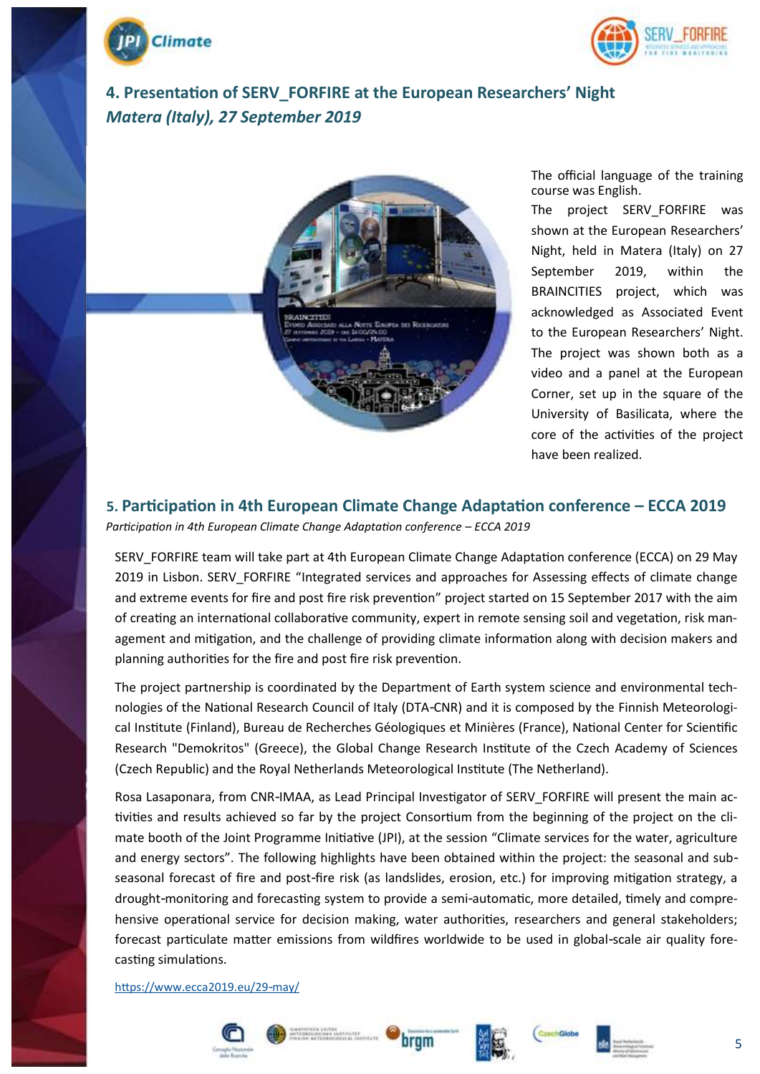



# **4. Presentation of SERV\_FORFIRE at the European Researchers' Night** *Matera (Italy), 27 September 2019*



The official language of the training course was English.

The project SERV\_FORFIRE was shown at the European Researchers' Night, held in Matera (Italy) on 27 September 2019, within the BRAINCITIES project, which was acknowledged as Associated Event to the European Researchers' Night. The project was shown both as a video and a panel at the European Corner, set up in the square of the University of Basilicata, where the core of the activities of the project have been realized.

## **5. Participation in 4th European Climate Change Adaptation conference – ECCA 2019**

*Participation in 4th European Climate Change Adaptation conference – ECCA 2019*

SERV\_FORFIRE team will take part at 4th European Climate Change Adaptation conference (ECCA) on 29 May 2019 in Lisbon. SERV\_FORFIRE "Integrated services and approaches for Assessing effects of climate change and extreme events for fire and post fire risk prevention" project started on 15 September 2017 with the aim of creating an international collaborative community, expert in remote sensing soil and vegetation, risk management and mitigation, and the challenge of providing climate information along with decision makers and planning authorities for the fire and post fire risk prevention.

The project partnership is coordinated by the Department of Earth system science and environmental technologies of the National Research Council of Italy (DTA-CNR) and it is composed by the Finnish Meteorological Institute (Finland), Bureau de Recherches Géologiques et Minières (France), National Center for Scientific Research "Demokritos" (Greece), the Global Change Research Institute of the Czech Academy of Sciences (Czech Republic) and the Royal Netherlands Meteorological Institute (The Netherland).

Rosa Lasaponara, from CNR-IMAA, as Lead Principal Investigator of SERV\_FORFIRE will present the main activities and results achieved so far by the project Consortium from the beginning of the project on the climate booth of the Joint Programme Initiative (JPI), at the session "Climate services for the water, agriculture and energy sectors". The following highlights have been obtained within the project: the seasonal and subseasonal forecast of fire and post-fire risk (as landslides, erosion, etc.) for improving mitigation strategy, a drought-monitoring and forecasting system to provide a semi-automatic, more detailed, timely and comprehensive operational service for decision making, water authorities, researchers and general stakeholders; forecast particulate matter emissions from wildfires worldwide to be used in global-scale air quality forecasting simulations.

<https://www.ecca2019.eu/29-may/>











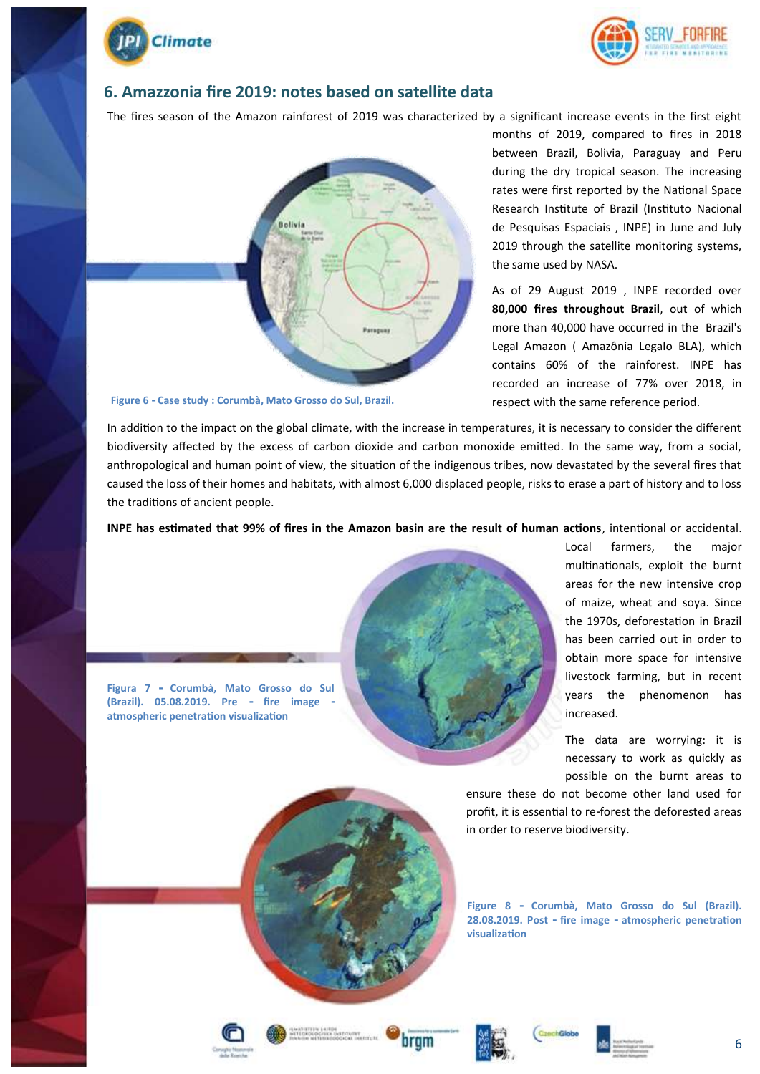



#### **6. Amazzonia fire 2019: notes based on satellite data**

The fires season of the Amazon rainforest of 2019 was characterized by a significant increase events in the first eight



**Figure 6 - Case study : Corumbà, Mato Grosso do Sul, Brazil.**

months of 2019, compared to fires in 2018 between Brazil, Bolivia, Paraguay and Peru during the dry tropical season. The increasing rates were first reported by the National Space Research Institute of Brazil (Instituto Nacional de Pesquisas Espaciais , INPE) in June and July 2019 through the satellite monitoring systems, the same used by NASA.

As of 29 August 2019 , INPE recorded over **80,000 fires throughout Brazil**, out of which more than 40,000 have occurred in the Brazil's Legal Amazon ( Amazônia Legalo BLA), which contains 60% of the rainforest. INPE has recorded an increase of 77% over 2018, in respect with the same reference period.

In addition to the impact on the global climate, with the increase in temperatures, it is necessary to consider the different biodiversity affected by the excess of carbon dioxide and carbon monoxide emitted. In the same way, from a social, anthropological and human point of view, the situation of the indigenous tribes, now devastated by the several fires that caused the loss of their homes and habitats, with almost 6,000 displaced people, risks to erase a part of history and to loss the traditions of ancient people.

**INPE has estimated that 99% of fires in the Amazon basin are the result of human actions**, intentional or accidental.



Local farmers, the major multinationals, exploit the burnt areas for the new intensive crop of maize, wheat and soya. Since the 1970s, deforestation in Brazil has been carried out in order to obtain more space for intensive livestock farming, but in recent years the phenomenon has increased.

The data are worrying: it is necessary to work as quickly as possible on the burnt areas to

ensure these do not become other land used for profit, it is essential to re-forest the deforested areas in order to reserve biodiversity.

**Figure 8 - Corumbà, Mato Grosso do Sul (Brazil). 28.08.2019. Post - fire image - atmospheric penetration visualization**



**atmospheric penetration visualization**









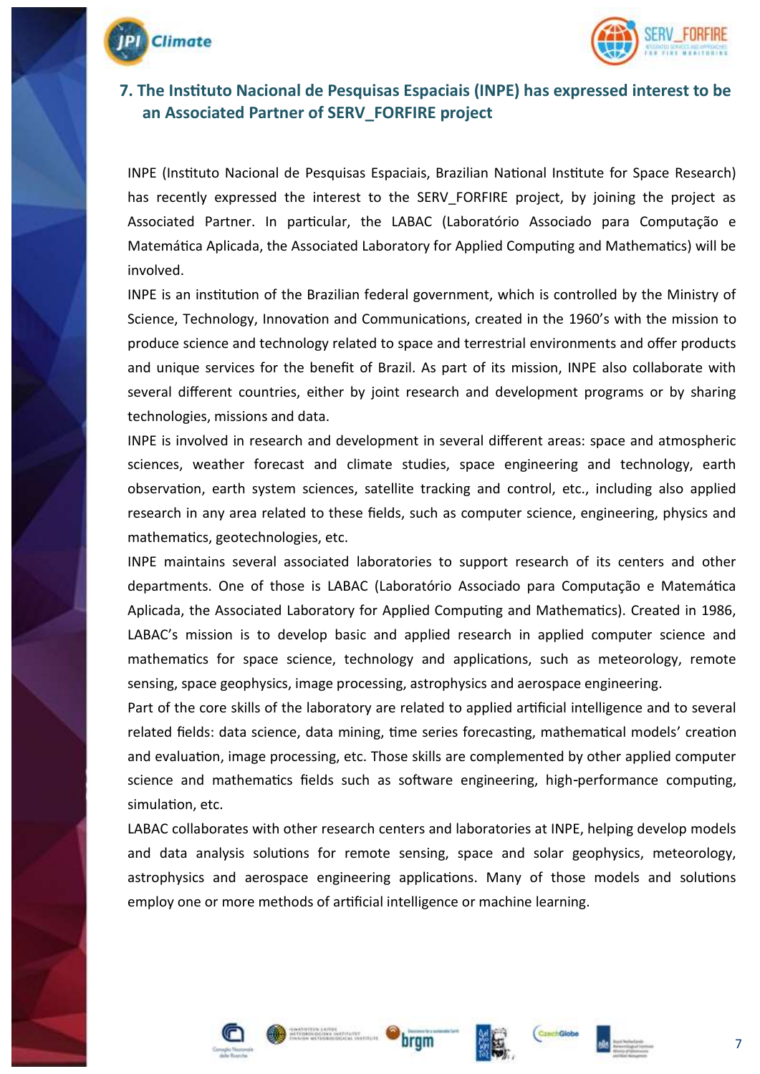



### **7. The Instituto Nacional de Pesquisas Espaciais (INPE) has expressed interest to be an Associated Partner of SERV\_FORFIRE project**

INPE (Instituto Nacional de Pesquisas Espaciais, Brazilian National Institute for Space Research) has recently expressed the interest to the SERV FORFIRE project, by joining the project as Associated Partner. In particular, the LABAC (Laboratório Associado para Computação e Matemática Aplicada, the Associated Laboratory for Applied Computing and Mathematics) will be involved.

INPE is an institution of the Brazilian federal government, which is controlled by the Ministry of Science, Technology, Innovation and Communications, created in the 1960's with the mission to produce science and technology related to space and terrestrial environments and offer products and unique services for the benefit of Brazil. As part of its mission, INPE also collaborate with several different countries, either by joint research and development programs or by sharing technologies, missions and data.

INPE is involved in research and development in several different areas: space and atmospheric sciences, weather forecast and climate studies, space engineering and technology, earth observation, earth system sciences, satellite tracking and control, etc., including also applied research in any area related to these fields, such as computer science, engineering, physics and mathematics, geotechnologies, etc.

INPE maintains several associated laboratories to support research of its centers and other departments. One of those is LABAC (Laboratório Associado para Computação e Matemática Aplicada, the Associated Laboratory for Applied Computing and Mathematics). Created in 1986, LABAC's mission is to develop basic and applied research in applied computer science and mathematics for space science, technology and applications, such as meteorology, remote sensing, space geophysics, image processing, astrophysics and aerospace engineering.

Part of the core skills of the laboratory are related to applied artificial intelligence and to several related fields: data science, data mining, time series forecasting, mathematical models' creation and evaluation, image processing, etc. Those skills are complemented by other applied computer science and mathematics fields such as software engineering, high-performance computing, simulation, etc.

LABAC collaborates with other research centers and laboratories at INPE, helping develop models and data analysis solutions for remote sensing, space and solar geophysics, meteorology, astrophysics and aerospace engineering applications. Many of those models and solutions employ one or more methods of artificial intelligence or machine learning.